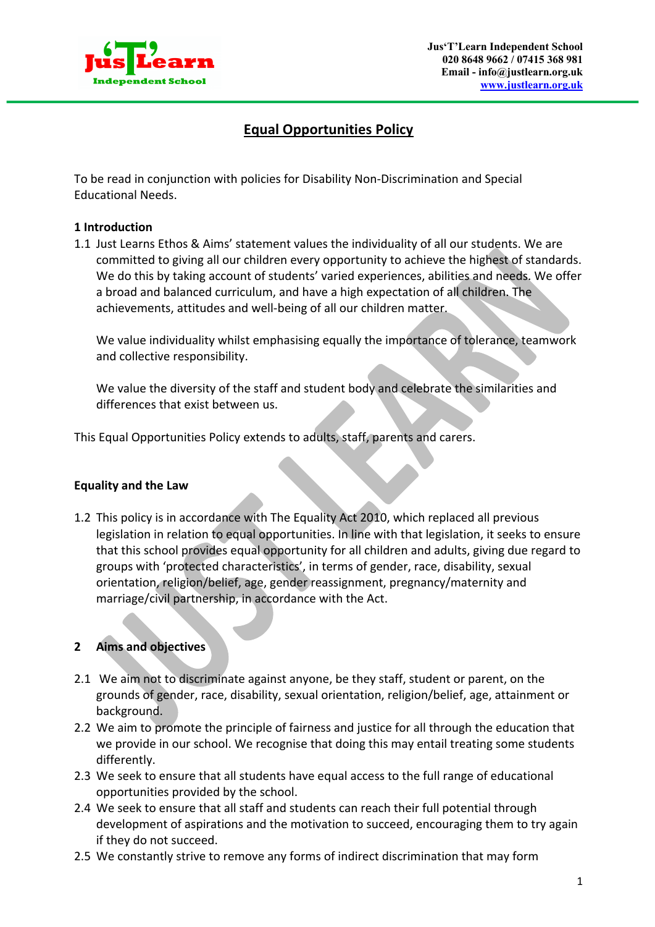

# **Equal Opportunities Policy**

To be read in conjunction with policies for Disability Non-Discrimination and Special Educational Needs.

#### **1 Introduction**

1.1 Just Learns Ethos & Aims' statement values the individuality of all our students. We are committed to giving all our children every opportunity to achieve the highest of standards. We do this by taking account of students' varied experiences, abilities and needs. We offer a broad and balanced curriculum, and have a high expectation of all children. The achievements, attitudes and well-being of all our children matter.

We value individuality whilst emphasising equally the importance of tolerance, teamwork and collective responsibility.

We value the diversity of the staff and student body and celebrate the similarities and differences that exist between us.

This Equal Opportunities Policy extends to adults, staff, parents and carers.

#### **Equality and the Law**

1.2 This policy is in accordance with The Equality Act 2010, which replaced all previous legislation in relation to equal opportunities. In line with that legislation, it seeks to ensure that this school provides equal opportunity for all children and adults, giving due regard to groups with 'protected characteristics', in terms of gender, race, disability, sexual orientation, religion/belief, age, gender reassignment, pregnancy/maternity and marriage/civil partnership, in accordance with the Act.

## **2 Aims and objectives**

- 2.1 We aim not to discriminate against anyone, be they staff, student or parent, on the grounds of gender, race, disability, sexual orientation, religion/belief, age, attainment or background.
- 2.2 We aim to promote the principle of fairness and justice for all through the education that we provide in our school. We recognise that doing this may entail treating some students differently.
- 2.3 We seek to ensure that all students have equal access to the full range of educational opportunities provided by the school.
- 2.4 We seek to ensure that all staff and students can reach their full potential through development of aspirations and the motivation to succeed, encouraging them to try again if they do not succeed.
- 2.5 We constantly strive to remove any forms of indirect discrimination that may form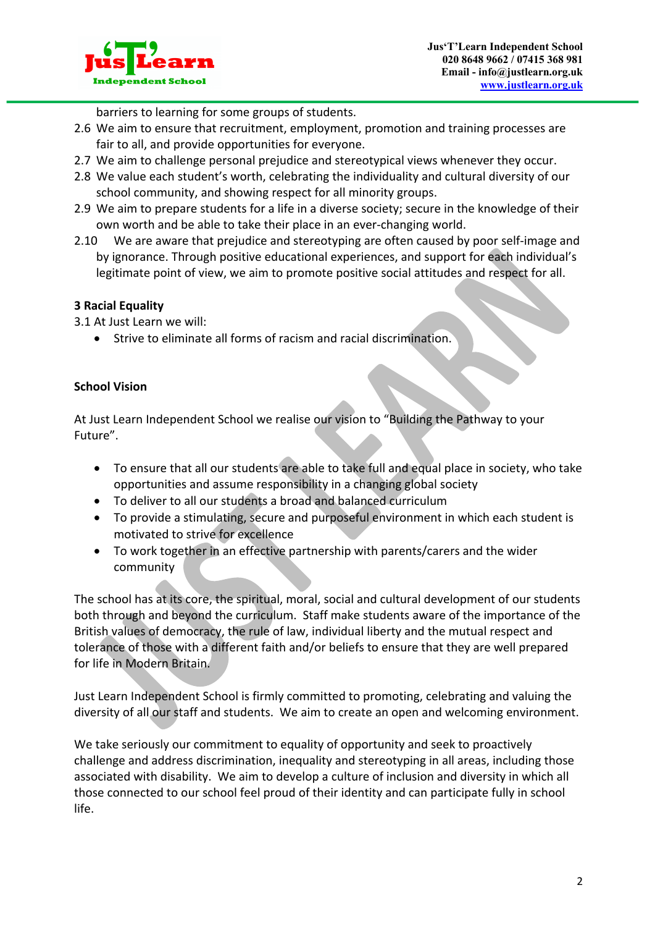

barriers to learning for some groups of students.

- 2.6 We aim to ensure that recruitment, employment, promotion and training processes are fair to all, and provide opportunities for everyone.
- 2.7 We aim to challenge personal prejudice and stereotypical views whenever they occur.
- 2.8 We value each student's worth, celebrating the individuality and cultural diversity of our school community, and showing respect for all minority groups.
- 2.9 We aim to prepare students for a life in a diverse society; secure in the knowledge of their own worth and be able to take their place in an ever-changing world.
- 2.10 We are aware that prejudice and stereotyping are often caused by poor self-image and by ignorance. Through positive educational experiences, and support for each individual's legitimate point of view, we aim to promote positive social attitudes and respect for all.

# **3 Racial Equality**

3.1 At Just Learn we will:

• Strive to eliminate all forms of racism and racial discrimination.

# **School Vision**

At Just Learn Independent School we realise our vision to "Building the Pathway to your Future".

- To ensure that all our students are able to take full and equal place in society, who take opportunities and assume responsibility in a changing global society
- To deliver to all our students a broad and balanced curriculum
- To provide a stimulating, secure and purposeful environment in which each student is motivated to strive for excellence
- To work together in an effective partnership with parents/carers and the wider community

The school has at its core, the spiritual, moral, social and cultural development of our students both through and beyond the curriculum. Staff make students aware of the importance of the British values of democracy, the rule of law, individual liberty and the mutual respect and tolerance of those with a different faith and/or beliefs to ensure that they are well prepared for life in Modern Britain.

Just Learn Independent School is firmly committed to promoting, celebrating and valuing the diversity of all our staff and students. We aim to create an open and welcoming environment.

We take seriously our commitment to equality of opportunity and seek to proactively challenge and address discrimination, inequality and stereotyping in all areas, including those associated with disability. We aim to develop a culture of inclusion and diversity in which all those connected to our school feel proud of their identity and can participate fully in school life.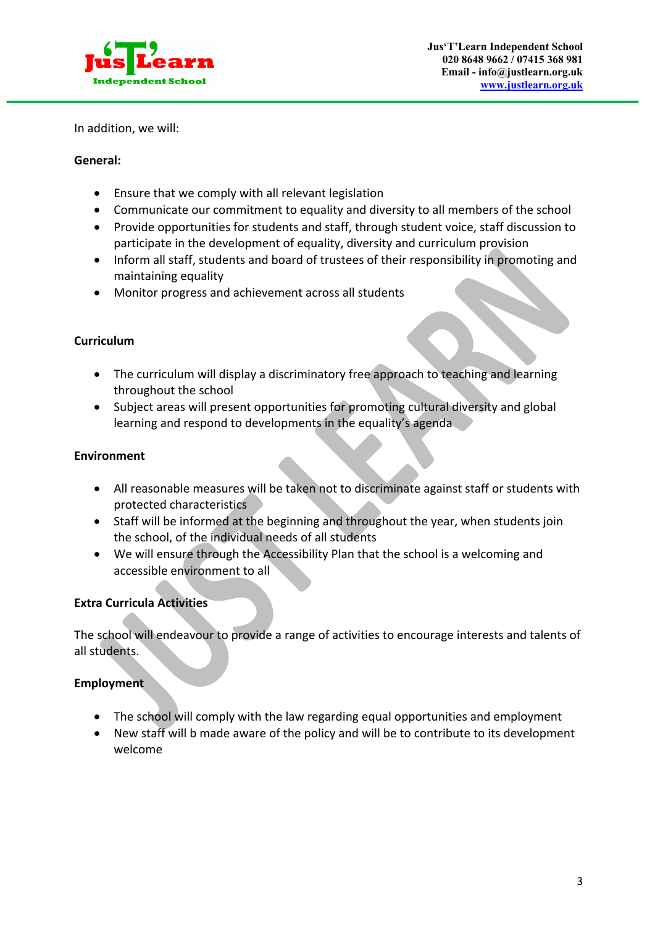

In addition, we will:

#### **General:**

- Ensure that we comply with all relevant legislation
- Communicate our commitment to equality and diversity to all members of the school
- Provide opportunities for students and staff, through student voice, staff discussion to participate in the development of equality, diversity and curriculum provision
- Inform all staff, students and board of trustees of their responsibility in promoting and maintaining equality
- Monitor progress and achievement across all students

#### **Curriculum**

- The curriculum will display a discriminatory free approach to teaching and learning throughout the school
- Subject areas will present opportunities for promoting cultural diversity and global learning and respond to developments in the equality's agenda

#### **Environment**

- All reasonable measures will be taken not to discriminate against staff or students with protected characteristics
- Staff will be informed at the beginning and throughout the year, when students join the school, of the individual needs of all students
- We will ensure through the Accessibility Plan that the school is a welcoming and accessible environment to all

### **Extra Curricula Activities**

The school will endeavour to provide a range of activities to encourage interests and talents of all students.

### **Employment**

- The school will comply with the law regarding equal opportunities and employment
- New staff will b made aware of the policy and will be to contribute to its development welcome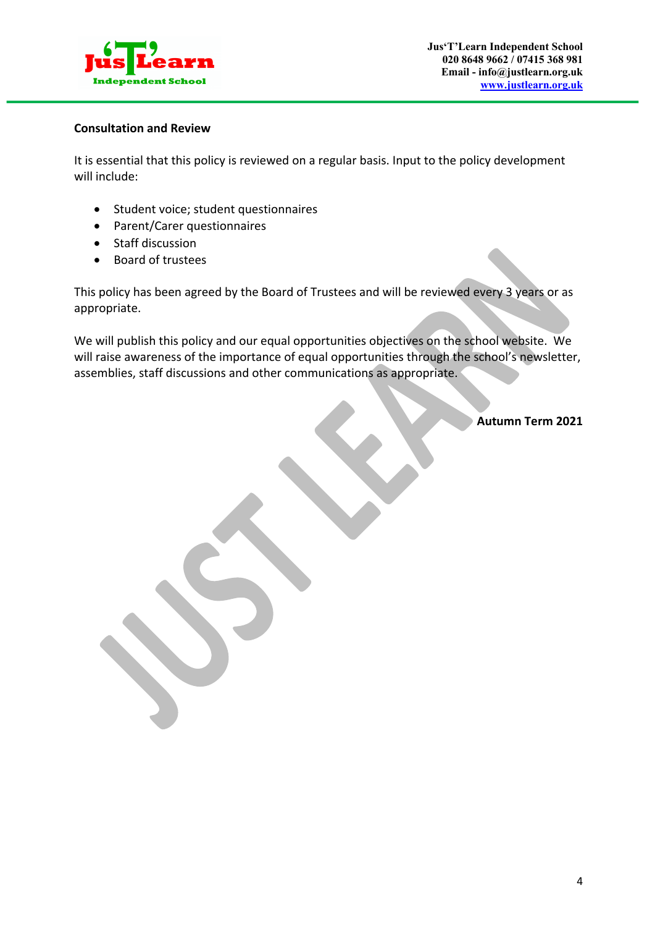

#### **Consultation and Review**

It is essential that this policy is reviewed on a regular basis. Input to the policy development will include:

- Student voice; student questionnaires
- Parent/Carer questionnaires
- Staff discussion
- Board of trustees

This policy has been agreed by the Board of Trustees and will be reviewed every 3 years or as appropriate.

We will publish this policy and our equal opportunities objectives on the school website. We will raise awareness of the importance of equal opportunities through the school's newsletter, assemblies, staff discussions and other communications as appropriate.

**Autumn Term 2021**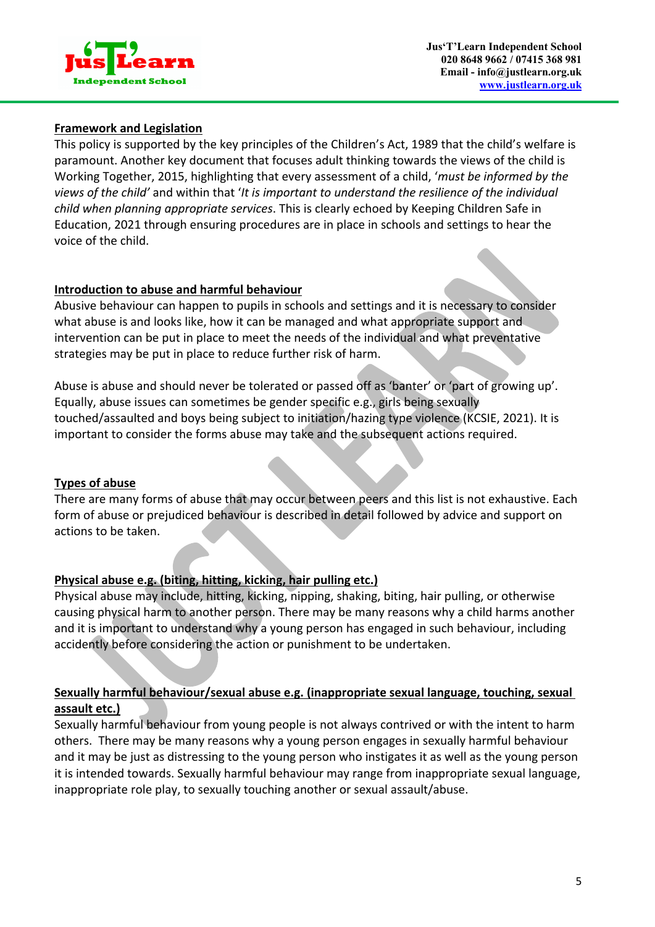

### **Framework and Legislation**

This policy is supported by the key principles of the Children's Act, 1989 that the child's welfare is paramount. Another key document that focuses adult thinking towards the views of the child is Working Together, 2015, highlighting that every assessment of a child, '*must be informed by the views of the child'* and within that '*It is important to understand the resilience of the individual child when planning appropriate services*. This is clearly echoed by Keeping Children Safe in Education, 2021 through ensuring procedures are in place in schools and settings to hear the voice of the child.

#### **Introduction to abuse and harmful behaviour**

Abusive behaviour can happen to pupils in schools and settings and it is necessary to consider what abuse is and looks like, how it can be managed and what appropriate support and intervention can be put in place to meet the needs of the individual and what preventative strategies may be put in place to reduce further risk of harm.

Abuse is abuse and should never be tolerated or passed off as 'banter' or 'part of growing up'. Equally, abuse issues can sometimes be gender specific e.g., girls being sexually touched/assaulted and boys being subject to initiation/hazing type violence (KCSIE, 2021). It is important to consider the forms abuse may take and the subsequent actions required.

#### **Types of abuse**

There are many forms of abuse that may occur between peers and this list is not exhaustive. Each form of abuse or prejudiced behaviour is described in detail followed by advice and support on actions to be taken.

### **Physical abuse e.g. (biting, hitting, kicking, hair pulling etc.)**

Physical abuse may include, hitting, kicking, nipping, shaking, biting, hair pulling, or otherwise causing physical harm to another person. There may be many reasons why a child harms another and it is important to understand why a young person has engaged in such behaviour, including accidently before considering the action or punishment to be undertaken.

### **Sexually harmful behaviour/sexual abuse e.g. (inappropriate sexual language, touching, sexual assault etc.)**

Sexually harmful behaviour from young people is not always contrived or with the intent to harm others. There may be many reasons why a young person engages in sexually harmful behaviour and it may be just as distressing to the young person who instigates it as well as the young person it is intended towards. Sexually harmful behaviour may range from inappropriate sexual language, inappropriate role play, to sexually touching another or sexual assault/abuse.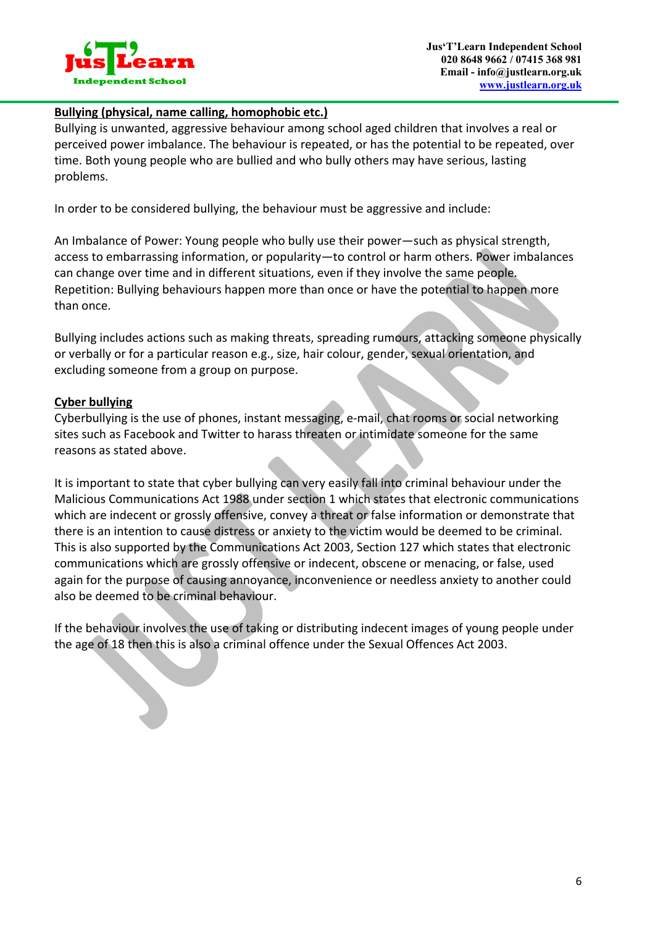

### **Bullying (physical, name calling, homophobic etc.)**

Bullying is unwanted, aggressive behaviour among school aged children that involves a real or perceived power imbalance. The behaviour is repeated, or has the potential to be repeated, over time. Both young people who are bullied and who bully others may have serious, lasting problems.

In order to be considered bullying, the behaviour must be aggressive and include:

An Imbalance of Power: Young people who bully use their power—such as physical strength, access to embarrassing information, or popularity—to control or harm others. Power imbalances can change over time and in different situations, even if they involve the same people. Repetition: Bullying behaviours happen more than once or have the potential to happen more than once.

Bullying includes actions such as making threats, spreading rumours, attacking someone physically or verbally or for a particular reason e.g., size, hair colour, gender, sexual orientation, and excluding someone from a group on purpose.

#### **Cyber bullying**

Cyberbullying is the use of phones, instant messaging, e-mail, chat rooms or social networking sites such as Facebook and Twitter to harass threaten or intimidate someone for the same reasons as stated above.

It is important to state that cyber bullying can very easily fall into criminal behaviour under the Malicious Communications Act 1988 under section 1 which states that electronic communications which are indecent or grossly offensive, convey a threat or false information or demonstrate that there is an intention to cause distress or anxiety to the victim would be deemed to be criminal. This is also supported by the Communications Act 2003, Section 127 which states that electronic communications which are grossly offensive or indecent, obscene or menacing, or false, used again for the purpose of causing annoyance, inconvenience or needless anxiety to another could also be deemed to be criminal behaviour.

If the behaviour involves the use of taking or distributing indecent images of young people under the age of 18 then this is also a criminal offence under the Sexual Offences Act 2003.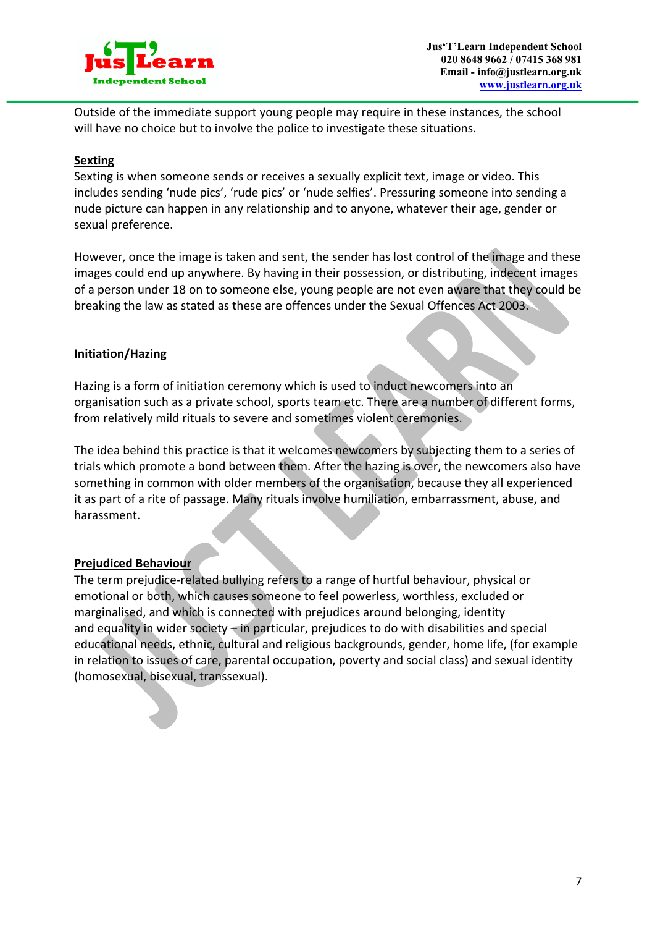

Outside of the immediate support young people may require in these instances, the school will have no choice but to involve the police to investigate these situations.

#### **Sexting**

Sexting is when someone sends or receives a sexually explicit text, image or video. This includes sending 'nude pics', 'rude pics' or 'nude selfies'. Pressuring someone into sending a nude picture can happen in any relationship and to anyone, whatever their age, gender or sexual preference.

However, once the image is taken and sent, the sender has lost control of the image and these images could end up anywhere. By having in their possession, or distributing, indecent images of a person under 18 on to someone else, young people are not even aware that they could be breaking the law as stated as these are offences under the Sexual Offences Act 2003.

### **Initiation/Hazing**

Hazing is a form of initiation ceremony which is used to induct newcomers into an organisation such as a private school, sports team etc. There are a number of different forms, from relatively mild rituals to severe and sometimes violent ceremonies.

The idea behind this practice is that it welcomes newcomers by subjecting them to a series of trials which promote a bond between them. After the hazing is over, the newcomers also have something in common with older members of the organisation, because they all experienced it as part of a rite of passage. Many rituals involve humiliation, embarrassment, abuse, and harassment.

### **Prejudiced Behaviour**

The term prejudice-related bullying refers to a range of hurtful behaviour, physical or emotional or both, which causes someone to feel powerless, worthless, excluded or marginalised, and which is connected with prejudices around belonging, identity and equality in wider society – in particular, prejudices to do with disabilities and special educational needs, ethnic, cultural and religious backgrounds, gender, home life, (for example in relation to issues of care, parental occupation, poverty and social class) and sexual identity (homosexual, bisexual, transsexual).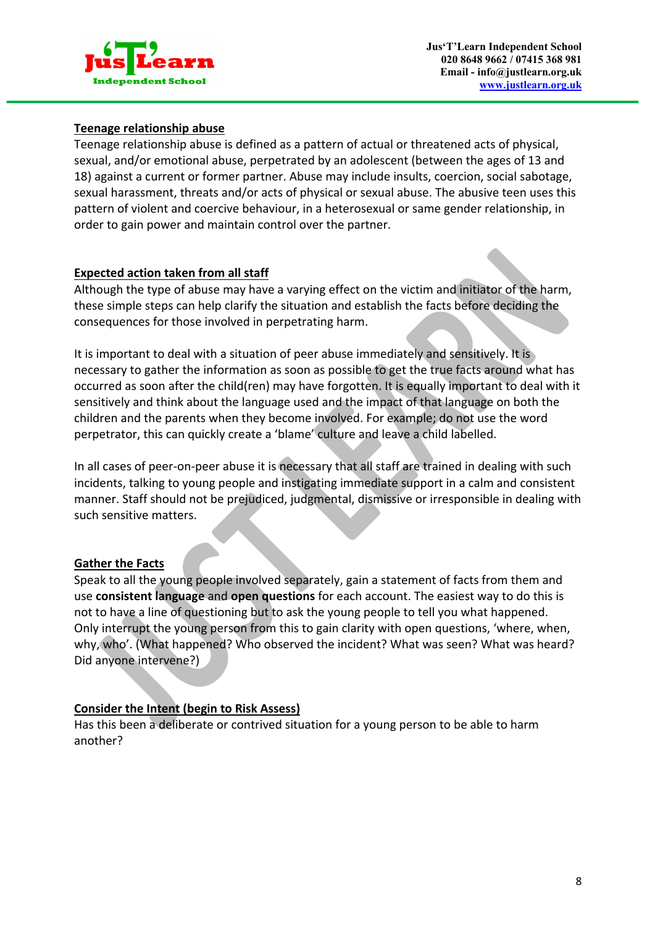

### **Teenage relationship abuse**

Teenage relationship abuse is defined as a pattern of actual or threatened acts of physical, sexual, and/or emotional abuse, perpetrated by an adolescent (between the ages of 13 and 18) against a current or former partner. Abuse may include insults, coercion, social sabotage, sexual harassment, threats and/or acts of physical or sexual abuse. The abusive teen uses this pattern of violent and coercive behaviour, in a heterosexual or same gender relationship, in order to gain power and maintain control over the partner.

#### **Expected action taken from all staff**

Although the type of abuse may have a varying effect on the victim and initiator of the harm, these simple steps can help clarify the situation and establish the facts before deciding the consequences for those involved in perpetrating harm.

It is important to deal with a situation of peer abuse immediately and sensitively. It is necessary to gather the information as soon as possible to get the true facts around what has occurred as soon after the child(ren) may have forgotten. It is equally important to deal with it sensitively and think about the language used and the impact of that language on both the children and the parents when they become involved. For example; do not use the word perpetrator, this can quickly create a 'blame' culture and leave a child labelled.

In all cases of peer-on-peer abuse it is necessary that all staff are trained in dealing with such incidents, talking to young people and instigating immediate support in a calm and consistent manner. Staff should not be prejudiced, judgmental, dismissive or irresponsible in dealing with such sensitive matters.

### **Gather the Facts**

Speak to all the young people involved separately, gain a statement of facts from them and use **consistent language** and **open questions** for each account. The easiest way to do this is not to have a line of questioning but to ask the young people to tell you what happened. Only interrupt the young person from this to gain clarity with open questions, 'where, when, why, who'. (What happened? Who observed the incident? What was seen? What was heard? Did anyone intervene?)

### **Consider the Intent (begin to Risk Assess)**

Has this been a deliberate or contrived situation for a young person to be able to harm another?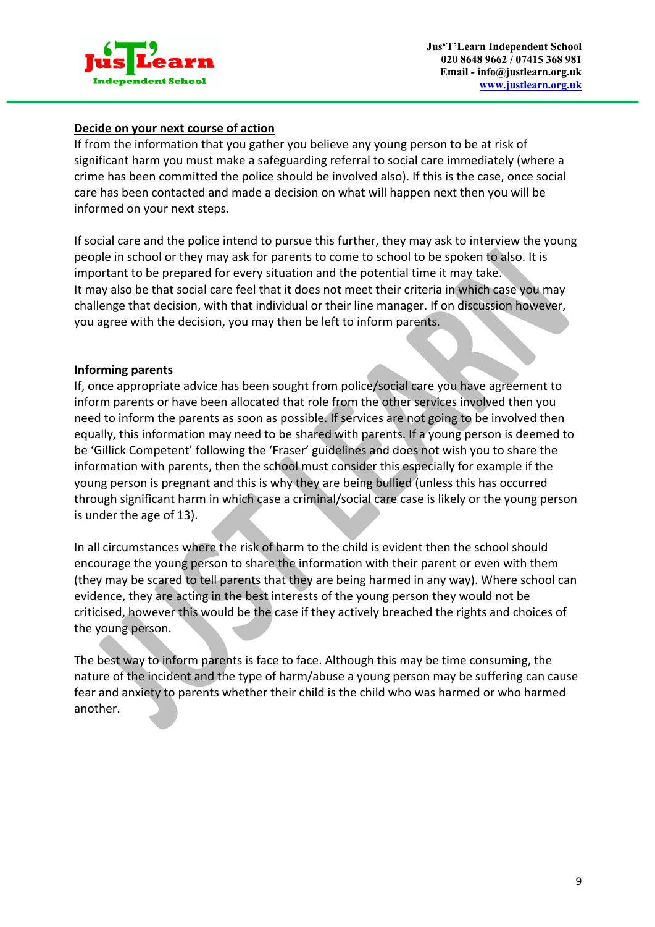

### **Decide on your next course of action**

If from the information that you gather you believe any young person to be at risk of significant harm you must make a safeguarding referral to social care immediately (where a crime has been committed the police should be involved also). If this is the case, once social care has been contacted and made a decision on what will happen next then you will be informed on your next steps.

If social care and the police intend to pursue this further, they may ask to interview the young people in school or they may ask for parents to come to school to be spoken to also. It is important to be prepared for every situation and the potential time it may take. It may also be that social care feel that it does not meet their criteria in which case you may challenge that decision, with that individual or their line manager. If on discussion however, you agree with the decision, you may then be left to inform parents.

#### **Informing parents**

If, once appropriate advice has been sought from police/social care you have agreement to inform parents or have been allocated that role from the other services involved then you need to inform the parents as soon as possible. If services are not going to be involved then equally, this information may need to be shared with parents. If a young person is deemed to be 'Gillick Competent' following the 'Fraser' guidelines and does not wish you to share the information with parents, then the school must consider this especially for example if the young person is pregnant and this is why they are being bullied (unless this has occurred through significant harm in which case a criminal/social care case is likely or the young person is under the age of 13).

In all circumstances where the risk of harm to the child is evident then the school should encourage the young person to share the information with their parent or even with them (they may be scared to tell parents that they are being harmed in any way). Where school can evidence, they are acting in the best interests of the young person they would not be criticised, however this would be the case if they actively breached the rights and choices of the young person.

The best way to inform parents is face to face. Although this may be time consuming, the nature of the incident and the type of harm/abuse a young person may be suffering can cause fear and anxiety to parents whether their child is the child who was harmed or who harmed another.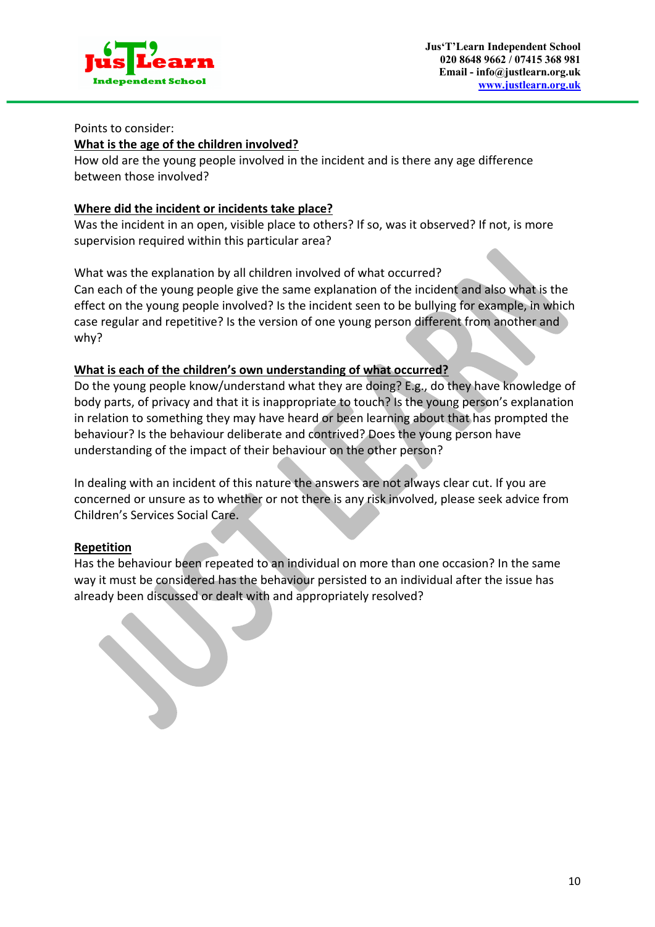

#### Points to consider:

#### **What is the age of the children involved?**

How old are the young people involved in the incident and is there any age difference between those involved?

#### **Where did the incident or incidents take place?**

Was the incident in an open, visible place to others? If so, was it observed? If not, is more supervision required within this particular area?

### What was the explanation by all children involved of what occurred?

Can each of the young people give the same explanation of the incident and also what is the effect on the young people involved? Is the incident seen to be bullying for example, in which case regular and repetitive? Is the version of one young person different from another and why?

### **What is each of the children's own understanding of what occurred?**

Do the young people know/understand what they are doing? E.g., do they have knowledge of body parts, of privacy and that it is inappropriate to touch? Is the young person's explanation in relation to something they may have heard or been learning about that has prompted the behaviour? Is the behaviour deliberate and contrived? Does the young person have understanding of the impact of their behaviour on the other person?

In dealing with an incident of this nature the answers are not always clear cut. If you are concerned or unsure as to whether or not there is any risk involved, please seek advice from Children's Services Social Care.

### **Repetition**

Has the behaviour been repeated to an individual on more than one occasion? In the same way it must be considered has the behaviour persisted to an individual after the issue has already been discussed or dealt with and appropriately resolved?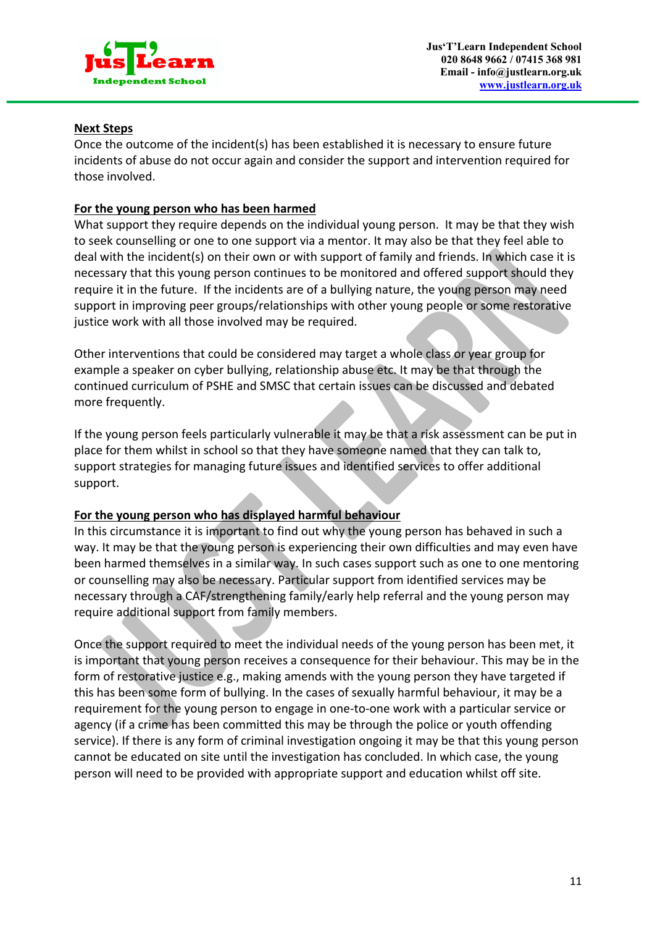

### **Next Steps**

Once the outcome of the incident(s) has been established it is necessary to ensure future incidents of abuse do not occur again and consider the support and intervention required for those involved.

#### **For the young person who has been harmed**

What support they require depends on the individual young person. It may be that they wish to seek counselling or one to one support via a mentor. It may also be that they feel able to deal with the incident(s) on their own or with support of family and friends. In which case it is necessary that this young person continues to be monitored and offered support should they require it in the future. If the incidents are of a bullying nature, the young person may need support in improving peer groups/relationships with other young people or some restorative justice work with all those involved may be required.

Other interventions that could be considered may target a whole class or year group for example a speaker on cyber bullying, relationship abuse etc. It may be that through the continued curriculum of PSHE and SMSC that certain issues can be discussed and debated more frequently.

If the young person feels particularly vulnerable it may be that a risk assessment can be put in place for them whilst in school so that they have someone named that they can talk to, support strategies for managing future issues and identified services to offer additional support.

### **For the young person who has displayed harmful behaviour**

In this circumstance it is important to find out why the young person has behaved in such a way. It may be that the young person is experiencing their own difficulties and may even have been harmed themselves in a similar way. In such cases support such as one to one mentoring or counselling may also be necessary. Particular support from identified services may be necessary through a CAF/strengthening family/early help referral and the young person may require additional support from family members.

Once the support required to meet the individual needs of the young person has been met, it is important that young person receives a consequence for their behaviour. This may be in the form of restorative justice e.g., making amends with the young person they have targeted if this has been some form of bullying. In the cases of sexually harmful behaviour, it may be a requirement for the young person to engage in one-to-one work with a particular service or agency (if a crime has been committed this may be through the police or youth offending service). If there is any form of criminal investigation ongoing it may be that this young person cannot be educated on site until the investigation has concluded. In which case, the young person will need to be provided with appropriate support and education whilst off site.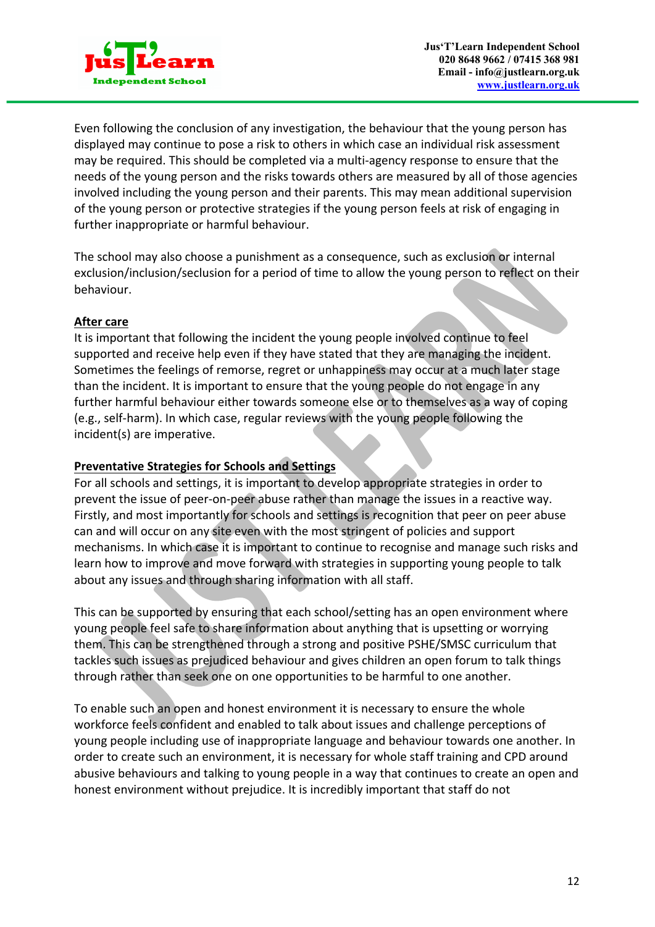

Even following the conclusion of any investigation, the behaviour that the young person has displayed may continue to pose a risk to others in which case an individual risk assessment may be required. This should be completed via a multi-agency response to ensure that the needs of the young person and the risks towards others are measured by all of those agencies involved including the young person and their parents. This may mean additional supervision of the young person or protective strategies if the young person feels at risk of engaging in further inappropriate or harmful behaviour.

The school may also choose a punishment as a consequence, such as exclusion or internal exclusion/inclusion/seclusion for a period of time to allow the young person to reflect on their behaviour.

#### **After care**

It is important that following the incident the young people involved continue to feel supported and receive help even if they have stated that they are managing the incident. Sometimes the feelings of remorse, regret or unhappiness may occur at a much later stage than the incident. It is important to ensure that the young people do not engage in any further harmful behaviour either towards someone else or to themselves as a way of coping (e.g., self-harm). In which case, regular reviews with the young people following the incident(s) are imperative.

### **Preventative Strategies for Schools and Settings**

For all schools and settings, it is important to develop appropriate strategies in order to prevent the issue of peer-on-peer abuse rather than manage the issues in a reactive way. Firstly, and most importantly for schools and settings is recognition that peer on peer abuse can and will occur on any site even with the most stringent of policies and support mechanisms. In which case it is important to continue to recognise and manage such risks and learn how to improve and move forward with strategies in supporting young people to talk about any issues and through sharing information with all staff.

This can be supported by ensuring that each school/setting has an open environment where young people feel safe to share information about anything that is upsetting or worrying them. This can be strengthened through a strong and positive PSHE/SMSC curriculum that tackles such issues as prejudiced behaviour and gives children an open forum to talk things through rather than seek one on one opportunities to be harmful to one another.

To enable such an open and honest environment it is necessary to ensure the whole workforce feels confident and enabled to talk about issues and challenge perceptions of young people including use of inappropriate language and behaviour towards one another. In order to create such an environment, it is necessary for whole staff training and CPD around abusive behaviours and talking to young people in a way that continues to create an open and honest environment without prejudice. It is incredibly important that staff do not